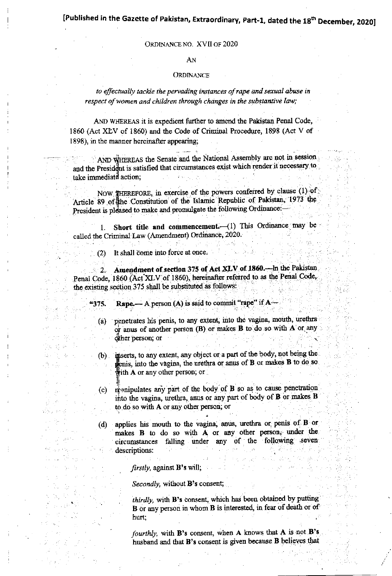## [Published in the Gazette of Pakistan, Extraordinary, Part-1, dated the 18<sup>th</sup> December, 2020]

#### ORDINANCE NO. XVII OF 2020

#### AN

#### ORDINANCE

to effectually tackle the pervading instances of rape and sexual abuse in respect of women and children through changes in the substantive law;

AND WHEREAS it is expedient further to amend the Pakistan Penal Code. 1860 (Act XLV of 1860) and the Code of Criminal Procedure, 1898 (Act V of 1898), in the manner hereinafter appearing;

AND WHEREAS the Senate and the National Assembly are not in session and the President is satisfied that circumstances exist which render it necessary to take immediate action,

NOW THEREFORE, in exercise of the powers conferred by clause (1) of Article 89 of the Constitution of the Islamic Republic of Pakistan, 1973 the President is pleased to make and promulgate the following Ordinance:-

1. Short title and commencement. (1) This Ordinance may be called the Criminal Law (Amendment) Ordinance, 2020.

(2) It shall come into force at once.

Amendment of section 375 of Act XLV of 1860. In the Pakistan  $2<sub>1</sub>$ Penal Code, 1860 (Act XLV of 1860), hereinafter referred to as the Penal Code, the existing section 375 shall be substituted as follows:

Rape.— A person (A) is said to commit "rape" if A "375.

penetrates his penis, to any extent, into the vagina, mouth, urethra (a) or anus of another person (B) or makes B to do so with A or any other person; or

- inserts, to any extent, any object or a part of the body, not being the  $(b)$ enis, into the vagina, the urethra or anus of B or makes B to do so with  $A$  or any other person; or
- manipulates any part of the body of B so as to cause penetration  $(c)$ into the vagina, urethra, anus or any part of body of B or makes B to do so with A or any other person; or
- applies his mouth to the vagina, anus, urethra or penis of B or  $(d)$ makes B to do so with A or any other person, under the circumstances falling under any of the following seven descriptions:

firstly, against  $B$ 's will,

Secondly, without B's consent,

thirdly, with B's consent, which has been obtained by putting B or any person in whom B is interested, in fear of death or of hurt:

fourthly, with B's consent, when A knows that A is not B's husband and that B's consent is given because B believes that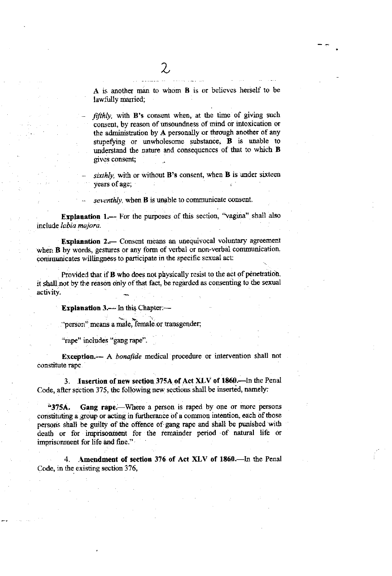A is another man to whom B is or believes herself to be lawfully married;

fifthly, with B's consent when, at the time of giving such consent, by reason of unsoundness of mind or intoxication or the administration by A personally or through another of any stupefying or unwholesome substance, **B** is unable to understand the nature and consequences of that to which B gives consent;

sixthly, with or without B's consent, when B is under sixteen years of age;

seventhly, when **B** is unable to communicate consent.

Explanation 1.-- For the purposes of this section, "vagina" shall also include labia majora.

Explanation 2. Consent means an unequivocal voluntary agreement when **B** by words, gestures or any form of verbal or non-verbal communication. communicates willingness to participate in the specific sexual act:

Provided that if B who does not physically resist to the act of penetration, it shall not by the reason only of that fact, be regarded as consenting to the sexual activity.

**Explanation 3.**— In this Chapter —

"person" means a male, female or transgender;

"rape" includes "gang rape".

Exception.--- A bonafide medical procedure or intervention shall not constitute rape

3. Insertion of new section 375A of Act XLV of 1860. In the Penal Code, after section 375, the following new sections shall be inserted, namely:

Gang rape. Where a person is raped by one or more persons  $4375A.$ constituting a group or acting in furtherance of a common intention, each of those persons shall be guilty of the offence of gang rape and shall be punished with death or for imprisonment for the remainder period of natural life or imprisonment for life and fine."

Amendment of section 376 of Act XLV of 1860. In the Penal Code, in the existing section 376,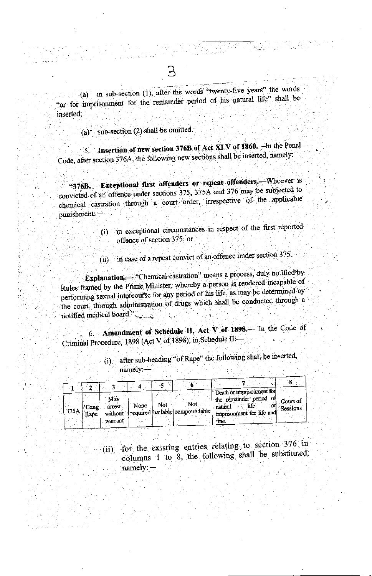(a) in sub-section (1), after the words "twenty-five years" the words "or for imprisonment for the remainder period of his natural life" shall be inserted:

(a) sub-section (2) shall be omitted.

Insertion of new section 376B of Act XLV of 1860. In the Penal  $5.$ Code, after section 376A, the following new sections shall be inserted, namely:

Exceptional first offenders or repeat offenders. Whoever is "376B. convicted of an offence under sections 375, 375A and 376 may be subjected to chemical castration through a court order, irrespective of the applicable punishment.-

- (i) in exceptional circumstances in respect of the first reported offence of section 375; or
- (ii) in case of a repeat convict of an offence under section 375.

Explanation. "Chemical castration" means a process, duly notified by Rules framed by the Prime Minister, whereby a person is rendered incapable of performing sexual intercourse for any period of his life, as may be determined by the court, through administration of drugs which shall be conducted through a 

6. Amendment of Schedule II, Act V of 1898. In the Code of Criminal Procedure, 1898 (Act V of 1898), in Schedule II:

|      |          |         |      |     |                                        | Death or imprisonment for |
|------|----------|---------|------|-----|----------------------------------------|---------------------------|
|      |          | May     |      |     |                                        | the remainder period of   |
|      |          |         | None | Not | Not                                    | Court of<br>life          |
| 375A | l 'Gang] | arrest  |      |     | without required bailable compoundable | natural<br>Sessions       |
|      | Rane     |         |      |     |                                        | imprisonment for life and |
|      |          | warrant |      |     |                                        | fne.                      |
|      |          |         |      |     |                                        |                           |

(i) after sub-heading "of Rape" the following shall be inserted, namely:-

(ii) for the existing entries relating to section 376 in columns 1 to 8, the following shall be substituted, namely:-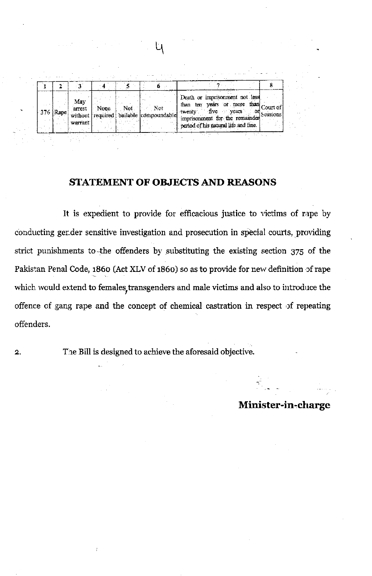| 376 [Rape] | May<br>arrest<br>warrant | None. | Not. | Not.<br>without required bailable compoundable | Death or imprisonment not less<br>than ten years or more than<br>five<br>twenty.<br>vears<br>imprisonment for the remainder Sessions<br>period of his natural life and fine. | on | Court of |
|------------|--------------------------|-------|------|------------------------------------------------|------------------------------------------------------------------------------------------------------------------------------------------------------------------------------|----|----------|
|            |                          |       | ぶんか  |                                                |                                                                                                                                                                              |    |          |

### STATEMENT OF OBJECTS AND REASONS

It is expedient to provide for efficacious justice to victims of rape by conducting gender sensitive investigation and prosecution in special courts, providing strict punishments to the offenders by substituting the existing section 375 of the Pakistan Penal Code, 1860 (Act XLV of 1860) so as to provide for new definition of rape which would extend to females transgenders and male victims and also to introduce the offence of gang rape and the concept of chemical castration in respect of repeating offenders.

 $\overline{2}$ 

The Bill is designed to achieve the aforesaid objective.

## Minister-in-charge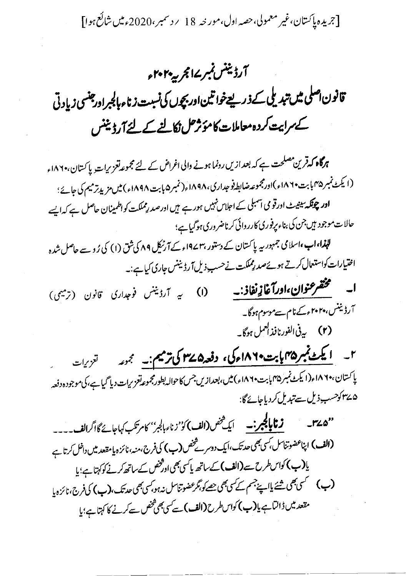[جریدہ پاکستان،غیر معمولی،حصہ اول،مور خہ 18 پردسمبر،2020ء میں شائع ہوا]

# آرڈیننس نمبر ۱۷ مجر پی<sup>م ۲</sup>۰۲۰

قانون اصلی میں تبدیلی کے ذریعےخواتین اوربچوں کی نسبت زناء بالجبراورجنسی زیادتی کے مرابیت کردہ معاملات کامؤثر کل نکالنے کے لئے آرڈیننس

ہرگاہ کہ قرین مصلحت ہے کہ بعد ازیں رونما ہونے والی اغراض کے لئے مجموعہ تعزیرات پاکستان،۱۸۶۰ء (ایکٹ نمبر ۱۸۴۵ بابت ۱۸۶۰ء)اورمجموعہ ضابط فوجداری،۱۸۹۸ء(نمبر ۱۸۹۸ء) میں مزید ترمیم کی جائے؛ **اور چونکہ سینی**ٹ اورقو می آسمبلی کے اجلاس نہیں ہور ہے ہیں اورصد رِمملکت کواظمینان حاصل ہے کہ ایسے حالات موجود میں جن کی بناء پرفوری کارروائی کرناضروری ہوگیاہے؛

لپنما،اب،اسلامی جمہور بیہ پاکستان کے دستور ،۱۹۷۲ء کے آرٹیکل ۸۹ کی شق (۱) کی رُو سے حاصل شدہ اختیارات کواستعال کرتے ہوئےصد رِمملکت نےحسب ذیل آرڈیننس جاری کیاہے:۔

- **ا۔ مختصر عنوان،اورآغازِ نفاذ:۔** (۱) یہ آرڈینس فوجداری قانون (ترمیمی) آرڈیننس،۲۰۲۰ءکےنام سےموسوم ہوگا۔ (۲) به فی الفورنافذ العمل ہوگا۔
- ۲\_ ایکٹ نمبر ۱۵ کاپت ۱۸۶۰مرکی، دفعہ ۱۳۷۵ کی ترمیم:۔ مجموعہ تعزیات یا کستان،۱۸۶۰ء(ایکٹ نمبر ۱۸۴۵ پابت ۱۸۶۰ء) میں،بعدازیں جس کاحوالہ بطورمجموعہ تعزیرات دیا گیا ہے،کی موجود ہ دفعہ ۵ ۳۷ کوحسب ذیل سے تبدیل کردیاجائے گا:

**زنا پالچبر:۔** ایک شخص(الف) کوْ'زناء بالجر'' کامرتکب کہاجائے گااگرالف۔۔۔۔  $-120$ (الف) اپناعضو تناسل، سی بھی حد تک، ایک دوسرے شخص(ب) کی فرج، منہ، نائزہ یا مقعد میں داخل کرتا ہے یا(ب) کواس طرح سے (الف) کے ساتھ پاکسی بھی اورشخص کے ساتھ کرنے کوکہتا ہے؛ یا (ب) گسمی بھی شئے پالپنے جسم کے کسی بھی حصے کو بگر عضوتناسل نہ ہو کسی بھی حد تک، (ب) کی فرج، نائزہ پا مقعد میں ڈالٹا ہے یا(ب) کواس طرح (الف) سے کسی بھی شخص سے کرنے کا کہتا ہے؛ یا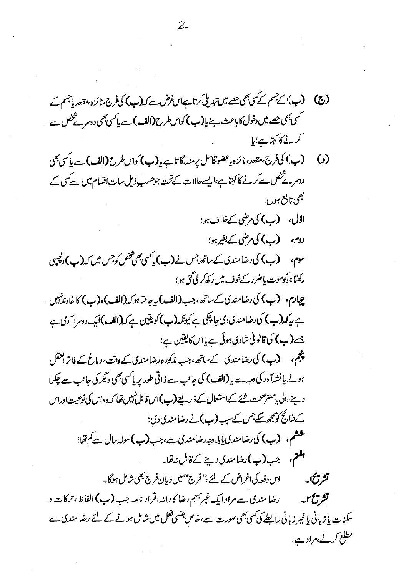(و) (ب) کی فرج،مقعد، نائزہ پاعضوتناسل برمنہ لگا تاہے پا**(پ)** کواس طرح **(الف)** سے پاکسی بھی ددسرے تخص سے کرنے کا کہتاہے،ایسے حالات کے تحت جوحسب ذیل سات اتسام میں سے کسی کے نجمي تابع ہوں : ا**ڌل، (پ)** کي مرضي کےخلاف ہو؛ دوم، (ب) کی مرضی کے بغیرہو؛ **سوم، (ب) کی رضامندی کے ساتھ جس نے (ب) پاکسی بھی مخض کوجس میں کہ (ب) دلچپی** ركىتا ہ<sub>ُ</sub> يُوموت پاضرر كےخوف ميں رك<sub>ى</sub>ركى كى مو؛ **چہارم، (ب) کی رضامندی کے ساتھ، جب (الف) پہ جانیا ہوکہ (الف)، (ب) کا خاوندنہیں** ہے پہ **کہ (ب)** کی رضامندی دی جاچکی ہے کیونکہ **(ب)** کویفین ہے کہ **(الف)** ایک دوسرا آ دی ہے جے (ب) کی قانونی شادی ہوئی ہے پاس کایقین ہے؛ پنجم، (ب) کی رضامندی کےساتھ ،جب مذکورہ رضامندی کے وقت، دیاغ کے فاتر احقل ہونے، یا نشہآ ورکی دجہ سے یا **(الف)** کی جانب سے ذاتی طور پر پاکسی بھی د<sup>ی</sup>گر کی جانب سے چکرا دینے <sub>ل</sub>الی پامضر صحت شئے کےاستعمال کے ذریعے **(ب)اس ق**ابل نہیں تھا کہ وہ اس کی نوعیت اوراس کے نتائج کو بچھ سکے جس کے سب (ب)نے رضا مندی دی؛ ششم، (ب) کی رضامندی یابلادجہ رضامندی ہے، جب(ب) سولہ سال ہے کم تھا؛ ہ**فتم،** جب(ب)رضامندی دینے کے قابل نہ تھا۔ **تشریحا۔** سیس دند کی اغراض کے لئے ،''فرج'' میں دیان فرج بھی شامل ہوگا ۔۔ **تشریح ۲ به مسلسل در زمان مندی سے مراد ایک غیرمبہم رضا کارانہ اقرار نامہ جب (پ) الفاظ ،حرکات و** سکنات یا زبانی یا غیر زبانی رابطے کی سی بھی صورت سے،خاص جنسی فعل میں شامل ہونے کے لئے رضا مندی سے مطلع کر لے،مراد ہے: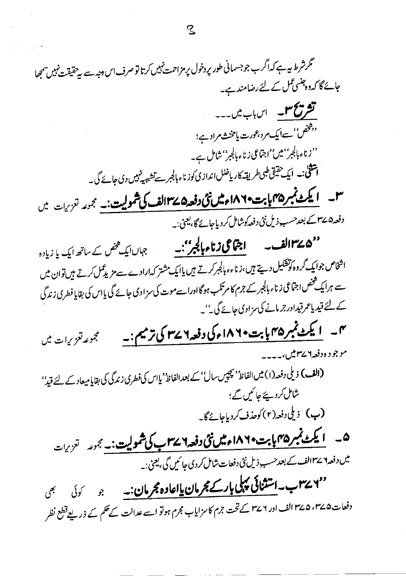گرشرط میہ ہے کہ اگر ب جوجسمانی طور پر دخول پر مزاحمت نہیں کرتا تو صرف اس دجہ سے ہیے تقیقت نہیں سمجھا حائے گا کہ دہجنسی عمل کے لئے رضامند ہے۔ تشریح سو اس باب میں۔۔۔ د.<br>پیخون''سےایک مرد،عورت یامخنش مراد ہے؛ ''زناءبالجبر''میں''اجتماعی زناءبالجبر''شامل ہے۔ اشقی:۔ ایک حقیقی طبی طریقہ کاریاخلل اندازی کوزناءبالجبر سے تشہیہ نہیں دی جائے گی۔ ۳۔ ایکٹ نمبر ۱۸۴۵ پاپت ۱۸۶۰ میل نئی دفعہ۵ ۱۳۷ملف کی شمولیت:۔ مجموعہ تعزیبات میں دفعہ۵ ۳۷ کے بعد حسب ذیل نئی دفعہ کوشامل کر دیاجائے گا، یعنی:۔ ''۵ کے ۱۳ اف اچامی نے اپرانی کے بھی کے ساتھ ایک یا زیادہ اشخاص جوایک گروہ کوتشکیل دیتے ہیں،زناءءبالجبرکرتے ہیں پاایک مشتر کہارادے سےمزیدعمل کرتے ہیں توان میں سے ہرایک څخص اجتماعی زناء بالجبر کے جرم کا مرتکب ہوگاادراسے موت کی سزادی جائے گی یااس کی بقایا فطری زندگی کے لئے قیدیاعمرقیدادرجرمانے کی سزادی جائے گی۔''۔ ۳۔ ایکٹ نمبر ۲۵ پابت ۱۸۶۰ مرکی دفعہ ۲ سے ۳ کی ترمیم :۔ مجموعه تعزیرات میں موجود ه دفعه ۲۷ میں، یہ یہ پہ (الف) ذیلی دفعہ(۱) میں الفاظ' بچپیں سال' کے بعد الفاظ' یااس کی فطری زندگی کی بقایامیعاد کے لئے قیدُ' شامل کردیئے جائیں گے؛ (ب) ذیلی دفعہ(۲) کوحذف کردیاجائے گا۔ ۵ - **ایکٹ نمبر ۱۸۶۵ بابت ۱۸۶۰ میل نئی دفعہ ۲۷۱ ب کی شمولیت: -** مجموعہ تعزی<sub>لت</sub> میں دفعہ ۷ سے الف کے بعد حسب ذیل نئی دفعات شامل کردی جا ئیں گی ، یعنی :۔ ''۲۷سب۔استثنائی پہلی بارکے مجرمان پااعادہ مجرمان:۔ جو کوئی بھی دفعات۵،۳۷۵، ۲۷۵ الف اور ۲۷۶ کے تحت جرم کاسزایاب مجرم ہوتو اسے عدالت کے حکم کے ذریعے قطع نظر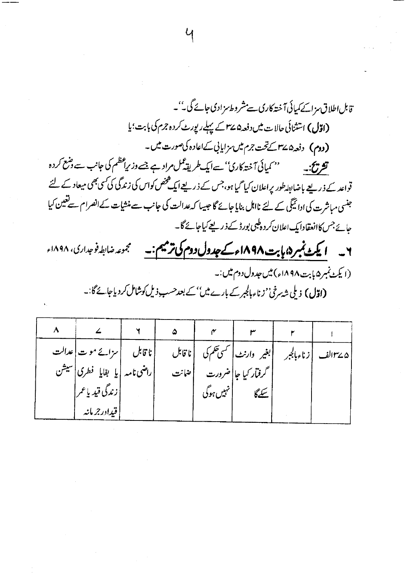قابل اطلاق سزائے کمپائی آختہ کاری سے مشر وطاسز ادی جائے گی۔''۔ (اقال) استثنائی حالات میں دفعہ۵ سے پہلے رپورٹ کردہ جرم کی بابت؛ یا (دوم) دفعہ۵،۲۷ تخت جرم میں مزایا بی کےاعادہ کی صورت میں۔ '' کمپائی آختہ کاری'' سےایک طریقہ کمل مراد ہے جسے وزیراعظم کی جانب سے وضع کردہ تشريجيه قواعد کے ذریعے باضابطہ طور پراعلان کیا گیا ہو،جس کے ذریعے ایک محض کواس کی زندگی کی کسی بھی میعاد کے لئے جنسی مباشرت کی ادائیگی کے لئے نااہل بنایا جائے گا جیسا کہ عدالت کی جانب سے منشیات کے انصرام سے تعین کیا <sub>ح</sub>ائے جس کاانعقادا یک اعلان کر د ہ<sup>ل</sup>بی بورڈ کے ذریعے کیاجائے گا۔ ۲۔ ایکٹ نمبر ۵ بابت ۱۸۹۸ء کے جدول دوم کی ترمیم:۔ مجموعه ضابطه فوجداري، ۱۸۹۸ء (ایکٹ نمبر ۵ بابرت ۱۸۹۸ء) میں جدول دوم میں :۔

|                                                                                                            | $\blacksquare$ . The contract of the contract of the contract of the contract of the contract of the contract of the contract of the contract of the contract of the contract of the contract of the contract of the contract of the |
|------------------------------------------------------------------------------------------------------------|--------------------------------------------------------------------------------------------------------------------------------------------------------------------------------------------------------------------------------------|
| <b>(اقال)</b> دیلی ش <sub>ت</sub> رخی''زناءبالجبرکے بارےمیں'' <i>کے بعد حسب</i> وٰذیل کوشامل کردیاجائےگا:۔ |                                                                                                                                                                                                                                      |

|                                | ۵    |           |                      |  |
|--------------------------------|------|-----------|----------------------|--|
| ناقابل   سزائے موت عدالت       |      |           |                      |  |
| راضی نامہ   یا بقایا فطری سیشن | ضانت |           | گرفتار کیا جا  ضرورت |  |
| زندگى قيدياعمر                 |      | نہیں ہوگی | سکے گا               |  |
| قیدار جرمانه                   |      |           |                      |  |